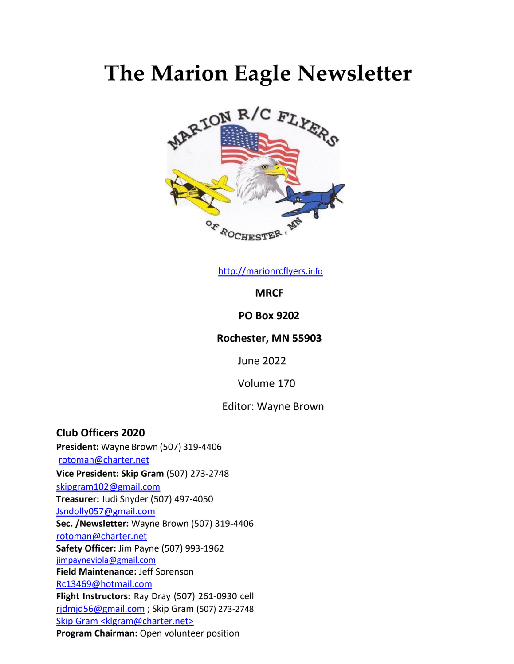# **The Marion Eagle Newsletter**



[http://marionrcflyers.](http://marionrcflyers.info/)[info](http://marionrcflyers.info/)

**MRCF** 

#### **PO Box 9202**

### **Rochester, MN 55903**

June 2022

Volume 170

#### Editor: Wayne Brown

**Club Officers 2020 President:** Wayne Brown (507) 319-4406 [rotoman@charter.net](mailto:rotoman@charter.net) **Vice President: Skip Gram** (507) 273-2748 [skipgram102@gmail.com](mailto:skipgram102@gmail.com) **Treasurer:** Judi Snyder (507) 497-4050 [Jsndolly057@gmail.com](mailto:Jsndolly057@gmail.com) **Sec. /Newsletter:** Wayne Brown (507) 319-4406 [rotoman@charter.net](mailto:rotoman@charter.net) **Safety Officer:** Jim Payne (507) 993-1962 [jimpayneviola@gmail.com](mailto:jimpayneviola@gmail.com) **Field Maintenance:** Jeff Sorenson [Rc13469@hotmail.com](mailto:Rc13469@hotmail.com) **Flight Instructors:** Ray Dray (507) 261-0930 cell [rjdmjd56@gmail.com](mailto:rjdmjd56@gmail.com) ; Skip Gram (507) 273-2748 Skip Gram [<klgram@charter.net>](mailto:klgram@charter.net) **Program Chairman:** Open volunteer position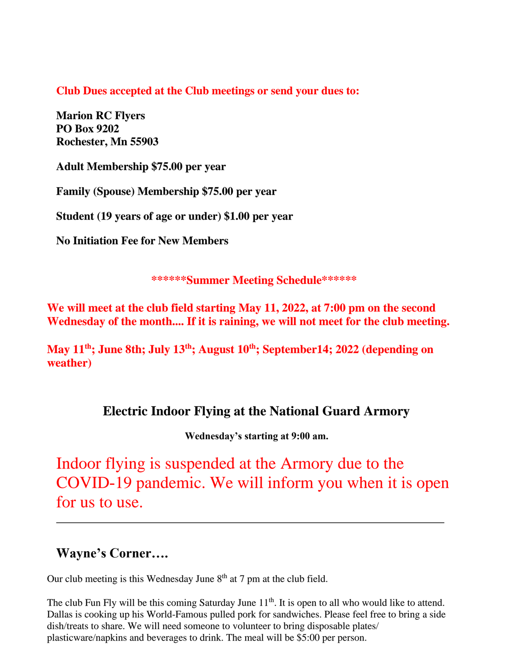**Club Dues accepted at the Club meetings or send your dues to:**

**Marion RC Flyers PO Box 9202 Rochester, Mn 55903**

**Adult Membership \$75.00 per year**

**Family (Spouse) Membership \$75.00 per year** 

**Student (19 years of age or under) \$1.00 per year** 

**No Initiation Fee for New Members**

**\*\*\*\*\*\*Summer Meeting Schedule\*\*\*\*\*\***

**We will meet at the club field starting May 11, 2022, at 7:00 pm on the second Wednesday of the month.... If it is raining, we will not meet for the club meeting.**

**May 11 th; June 8th; July 13th; August 10 th; September14; 2022 (depending on weather)**

## **Electric Indoor Flying at the National Guard Armory**

**Wednesday's starting at 9:00 am.**

Indoor flying is suspended at the Armory due to the COVID-19 pandemic. We will inform you when it is open for us to use.

## **Wayne's Corner….**

Our club meeting is this Wednesday June  $8<sup>th</sup>$  at 7 pm at the club field.

The club Fun Fly will be this coming Saturday June 11<sup>th</sup>. It is open to all who would like to attend. Dallas is cooking up his World-Famous pulled pork for sandwiches. Please feel free to bring a side dish/treats to share. We will need someone to volunteer to bring disposable plates/ plasticware/napkins and beverages to drink. The meal will be \$5:00 per person.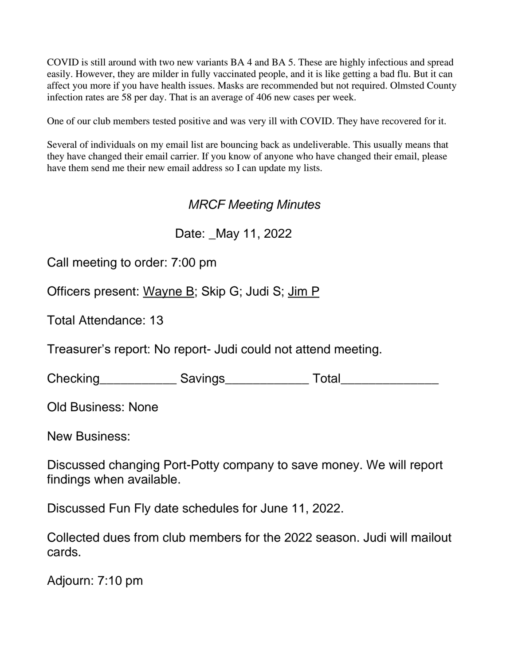COVID is still around with two new variants BA 4 and BA 5. These are highly infectious and spread easily. However, they are milder in fully vaccinated people, and it is like getting a bad flu. But it can affect you more if you have health issues. Masks are recommended but not required. Olmsted County infection rates are 58 per day. That is an average of 406 new cases per week.

One of our club members tested positive and was very ill with COVID. They have recovered for it.

Several of individuals on my email list are bouncing back as undeliverable. This usually means that they have changed their email carrier. If you know of anyone who have changed their email, please have them send me their new email address so I can update my lists.

## *MRCF Meeting Minutes*

Date: \_May 11, 2022

Call meeting to order: 7:00 pm

Officers present: Wayne B; Skip G; Judi S; Jim P

Total Attendance: 13

Treasurer's report: No report- Judi could not attend meeting.

Checking Savings Total

Old Business: None

New Business:

Discussed changing Port-Potty company to save money. We will report findings when available.

Discussed Fun Fly date schedules for June 11, 2022.

Collected dues from club members for the 2022 season. Judi will mailout cards.

Adjourn: 7:10 pm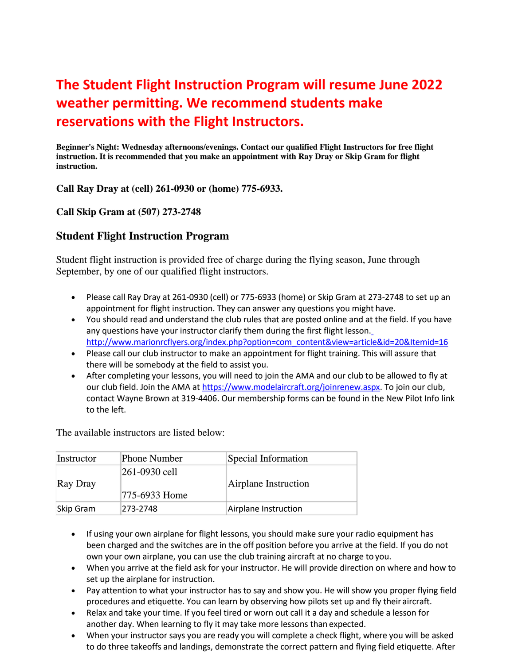## **The Student Flight Instruction Program will resume June 2022 weather permitting. We recommend students make reservations with the Flight Instructors.**

**Beginner's Night: Wednesday afternoons/evenings. Contact our qualified Flight Instructors for free flight instruction. It is recommended that you make an appointment with Ray Dray or Skip Gram for flight instruction.**

**Call Ray Dray at (cell) 261-0930 or (home) 775-6933.** 

#### **Call Skip Gram at (507) 273-2748**

#### **Student Flight Instruction Program**

Student flight instruction is provided free of charge during the flying season, June through September, by one of our qualified flight instructors.

- Please call Ray Dray at 261-0930 (cell) or 775-6933 (home) or Skip Gram at 273-2748 to set up an appointment for flight instruction. They can answer any questions you might have.
- You should read and understand the club rules that are posted online and [at the field. If you have](http://www.marionrcflyers.org/index.php?option=com_content&view=article&id=20&Itemid=16)  any questions have your instructor clarify them during the first flight lesson. [http://www.marionrcflyers.org/index.php?option=com\\_content&view=article&id=20&Itemid=16](http://www.marionrcflyers.org/index.php?option=com_content&view=article&id=20&Itemid=16)
- Please call our club instructor to make an appointment for flight training. This will assure that there will be somebody at the field to assist you.
- After completing your lessons, you will need to join the AMA and our club to be allowed to fly at our club field. Join the AMA at [https://www.modelaircraft.org/joinrenew.aspx. T](https://www.modelaircraft.org/joinrenew.aspx)o join our club, contact Wayne Brown at 319-4406. Our membership forms can be found in the New Pilot Info link to the left.

The available instructors are listed below:

| Instructor | <b>Phone Number</b> | Special Information  |
|------------|---------------------|----------------------|
| Ray Dray   | $ 261 - 0930$ cell  | Airplane Instruction |
|            | 775-6933 Home       |                      |
| Skip Gram  | 273-2748            | Airplane Instruction |

- If using your own airplane for flight lessons, you should make sure your radio equipment has been charged and the switches are in the off position before you arrive at the field. If you do not own your own airplane, you can use the club training aircraft at no charge to you.
- When you arrive at the field ask for your instructor. He will provide direction on where and how to set up the airplane for instruction.
- Pay attention to what your instructor has to say and show you. He will show you proper flying field procedures and etiquette. You can learn by observing how pilots set up and fly their aircraft.
- Relax and take your time. If you feel tired or worn out call it a day and schedule a lesson for another day. When learning to fly it may take more lessons than expected.
- When your instructor says you are ready you will complete a check flight, where you will be asked to do three takeoffs and landings, demonstrate the correct pattern and flying field etiquette. After